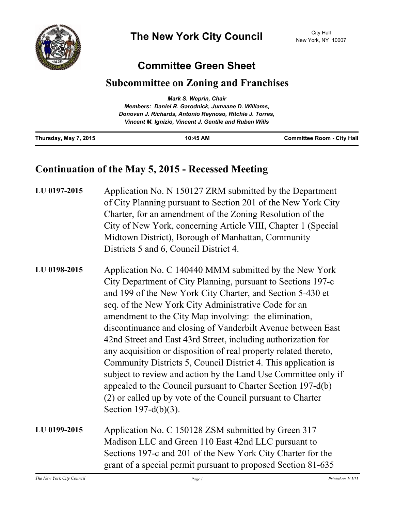

## **Committee Green Sheet**

## **Subcommittee on Zoning and Franchises**

|                       | <b>Mark S. Weprin, Chair</b>                             |                                   |
|-----------------------|----------------------------------------------------------|-----------------------------------|
|                       | Members: Daniel R. Garodnick, Jumaane D. Williams,       |                                   |
|                       | Donovan J. Richards, Antonio Reynoso, Ritchie J. Torres, |                                   |
|                       | Vincent M. Ignizio, Vincent J. Gentile and Ruben Wills   |                                   |
| Thursday, May 7, 2015 | 10:45 AM                                                 | <b>Committee Room - City Hall</b> |

## **Continuation of the May 5, 2015 - Recessed Meeting**

| LU 0197-2015 | Application No. N 150127 ZRM submitted by the Department<br>of City Planning pursuant to Section 201 of the New York City<br>Charter, for an amendment of the Zoning Resolution of the<br>City of New York, concerning Article VIII, Chapter 1 (Special<br>Midtown District), Borough of Manhattan, Community<br>Districts 5 and 6, Council District 4.                                                                                                                                                                                                                                                                                                                                                                                                                                                   |
|--------------|-----------------------------------------------------------------------------------------------------------------------------------------------------------------------------------------------------------------------------------------------------------------------------------------------------------------------------------------------------------------------------------------------------------------------------------------------------------------------------------------------------------------------------------------------------------------------------------------------------------------------------------------------------------------------------------------------------------------------------------------------------------------------------------------------------------|
| LU 0198-2015 | Application No. C 140440 MMM submitted by the New York<br>City Department of City Planning, pursuant to Sections 197-c<br>and 199 of the New York City Charter, and Section 5-430 et<br>seq. of the New York City Administrative Code for an<br>amendment to the City Map involving: the elimination,<br>discontinuance and closing of Vanderbilt Avenue between East<br>42nd Street and East 43rd Street, including authorization for<br>any acquisition or disposition of real property related thereto,<br>Community Districts 5, Council District 4. This application is<br>subject to review and action by the Land Use Committee only if<br>appealed to the Council pursuant to Charter Section 197-d(b)<br>(2) or called up by vote of the Council pursuant to Charter<br>Section 197-d $(b)(3)$ . |
| LU 0199-2015 | Application No. C 150128 ZSM submitted by Green 317<br>Madison LLC and Green 110 East 42nd LLC pursuant to<br>Sections 197-c and 201 of the New York City Charter for the<br>grant of a special permit pursuant to proposed Section 81-635                                                                                                                                                                                                                                                                                                                                                                                                                                                                                                                                                                |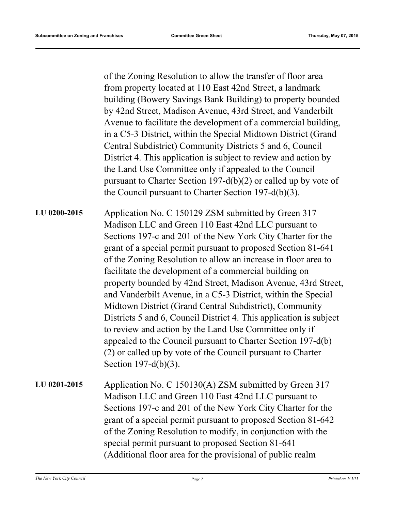of the Zoning Resolution to allow the transfer of floor area from property located at 110 East 42nd Street, a landmark building (Bowery Savings Bank Building) to property bounded by 42nd Street, Madison Avenue, 43rd Street, and Vanderbilt Avenue to facilitate the development of a commercial building, in a C5-3 District, within the Special Midtown District (Grand Central Subdistrict) Community Districts 5 and 6, Council District 4. This application is subject to review and action by the Land Use Committee only if appealed to the Council pursuant to Charter Section 197-d(b)(2) or called up by vote of the Council pursuant to Charter Section 197-d(b)(3).

Application No. C 150129 ZSM submitted by Green 317 Madison LLC and Green 110 East 42nd LLC pursuant to Sections 197-c and 201 of the New York City Charter for the grant of a special permit pursuant to proposed Section 81-641 of the Zoning Resolution to allow an increase in floor area to facilitate the development of a commercial building on property bounded by 42nd Street, Madison Avenue, 43rd Street, and Vanderbilt Avenue, in a C5-3 District, within the Special Midtown District (Grand Central Subdistrict), Community Districts 5 and 6, Council District 4. This application is subject to review and action by the Land Use Committee only if appealed to the Council pursuant to Charter Section 197-d(b) (2) or called up by vote of the Council pursuant to Charter Section 197-d(b)(3). **LU 0200-2015**

Application No. C 150130(A) ZSM submitted by Green 317 Madison LLC and Green 110 East 42nd LLC pursuant to Sections 197-c and 201 of the New York City Charter for the grant of a special permit pursuant to proposed Section 81-642 of the Zoning Resolution to modify, in conjunction with the special permit pursuant to proposed Section 81-641 (Additional floor area for the provisional of public realm **LU 0201-2015**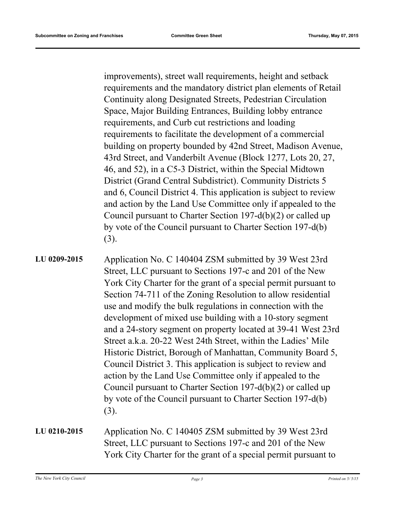improvements), street wall requirements, height and setback requirements and the mandatory district plan elements of Retail Continuity along Designated Streets, Pedestrian Circulation Space, Major Building Entrances, Building lobby entrance requirements, and Curb cut restrictions and loading requirements to facilitate the development of a commercial building on property bounded by 42nd Street, Madison Avenue, 43rd Street, and Vanderbilt Avenue (Block 1277, Lots 20, 27, 46, and 52), in a C5-3 District, within the Special Midtown District (Grand Central Subdistrict). Community Districts 5 and 6, Council District 4. This application is subject to review and action by the Land Use Committee only if appealed to the Council pursuant to Charter Section 197-d(b)(2) or called up by vote of the Council pursuant to Charter Section 197-d(b) (3).

- Application No. C 140404 ZSM submitted by 39 West 23rd Street, LLC pursuant to Sections 197-c and 201 of the New York City Charter for the grant of a special permit pursuant to Section 74-711 of the Zoning Resolution to allow residential use and modify the bulk regulations in connection with the development of mixed use building with a 10-story segment and a 24-story segment on property located at 39-41 West 23rd Street a.k.a. 20-22 West 24th Street, within the Ladies' Mile Historic District, Borough of Manhattan, Community Board 5, Council District 3. This application is subject to review and action by the Land Use Committee only if appealed to the Council pursuant to Charter Section 197-d(b)(2) or called up by vote of the Council pursuant to Charter Section 197-d(b) (3). **LU 0209-2015**
- Application No. C 140405 ZSM submitted by 39 West 23rd Street, LLC pursuant to Sections 197-c and 201 of the New York City Charter for the grant of a special permit pursuant to **LU 0210-2015**